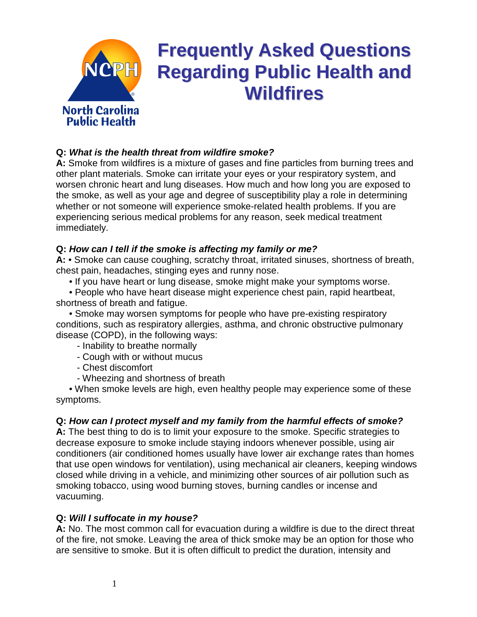

# **Frequently Asked Questions Regarding Public Health and Wildfires**

# **Q: What is the health threat from wildfire smoke?**

**A:** Smoke from wildfires is a mixture of gases and fine particles from burning trees and other plant materials. Smoke can irritate your eyes or your respiratory system, and worsen chronic heart and lung diseases. How much and how long you are exposed to the smoke, as well as your age and degree of susceptibility play a role in determining whether or not someone will experience smoke-related health problems. If you are experiencing serious medical problems for any reason, seek medical treatment immediately.

#### **Q: How can I tell if the smoke is affecting my family or me?**

**A:** • Smoke can cause coughing, scratchy throat, irritated sinuses, shortness of breath, chest pain, headaches, stinging eyes and runny nose.

• If you have heart or lung disease, smoke might make your symptoms worse.

 • People who have heart disease might experience chest pain, rapid heartbeat, shortness of breath and fatigue.

 • Smoke may worsen symptoms for people who have pre-existing respiratory conditions, such as respiratory allergies, asthma, and chronic obstructive pulmonary disease (COPD), in the following ways:

- Inability to breathe normally

- Cough with or without mucus

- Chest discomfort
- Wheezing and shortness of breath

 • When smoke levels are high, even healthy people may experience some of these symptoms.

## **Q: How can I protect myself and my family from the harmful effects of smoke?**

**A:** The best thing to do is to limit your exposure to the smoke. Specific strategies to decrease exposure to smoke include staying indoors whenever possible, using air conditioners (air conditioned homes usually have lower air exchange rates than homes that use open windows for ventilation), using mechanical air cleaners, keeping windows closed while driving in a vehicle, and minimizing other sources of air pollution such as smoking tobacco, using wood burning stoves, burning candles or incense and vacuuming.

## **Q: Will I suffocate in my house?**

**A:** No. The most common call for evacuation during a wildfire is due to the direct threat of the fire, not smoke. Leaving the area of thick smoke may be an option for those who are sensitive to smoke. But it is often difficult to predict the duration, intensity and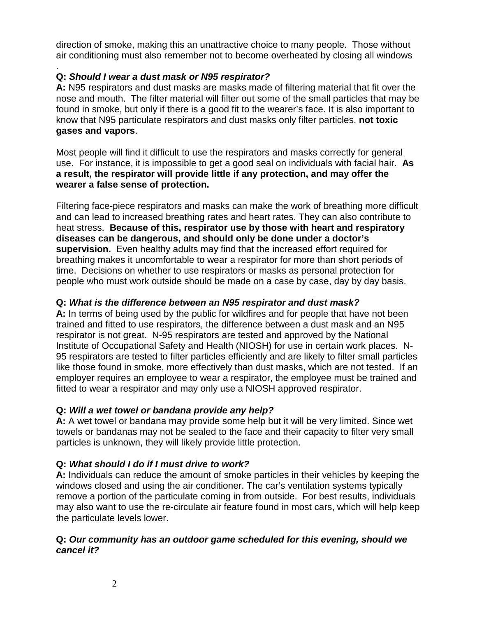direction of smoke, making this an unattractive choice to many people. Those without air conditioning must also remember not to become overheated by closing all windows

#### . **Q: Should I wear a dust mask or N95 respirator?**

**A:** N95 respirators and dust masks are masks made of filtering material that fit over the nose and mouth. The filter material will filter out some of the small particles that may be found in smoke, but only if there is a good fit to the wearer's face. It is also important to know that N95 particulate respirators and dust masks only filter particles, **not toxic gases and vapors**.

Most people will find it difficult to use the respirators and masks correctly for general use. For instance, it is impossible to get a good seal on individuals with facial hair. **As a result, the respirator will provide little if any protection, and may offer the wearer a false sense of protection.**

Filtering face-piece respirators and masks can make the work of breathing more difficult and can lead to increased breathing rates and heart rates. They can also contribute to heat stress. **Because of this, respirator use by those with heart and respiratory diseases can be dangerous, and should only be done under a doctor's supervision.** Even healthy adults may find that the increased effort required for breathing makes it uncomfortable to wear a respirator for more than short periods of time. Decisions on whether to use respirators or masks as personal protection for people who must work outside should be made on a case by case, day by day basis.

# **Q: What is the difference between an N95 respirator and dust mask?**

**A:** In terms of being used by the public for wildfires and for people that have not been trained and fitted to use respirators, the difference between a dust mask and an N95 respirator is not great. N-95 respirators are tested and approved by the National Institute of Occupational Safety and Health (NIOSH) for use in certain work places. N-95 respirators are tested to filter particles efficiently and are likely to filter small particles like those found in smoke, more effectively than dust masks, which are not tested. If an employer requires an employee to wear a respirator, the employee must be trained and fitted to wear a respirator and may only use a NIOSH approved respirator.

# **Q: Will a wet towel or bandana provide any help?**

**A:** A wet towel or bandana may provide some help but it will be very limited. Since wet towels or bandanas may not be sealed to the face and their capacity to filter very small particles is unknown, they will likely provide little protection.

# **Q: What should I do if I must drive to work?**

**A:** Individuals can reduce the amount of smoke particles in their vehicles by keeping the windows closed and using the air conditioner. The car's ventilation systems typically remove a portion of the particulate coming in from outside. For best results, individuals may also want to use the re-circulate air feature found in most cars, which will help keep the particulate levels lower.

## **Q: Our community has an outdoor game scheduled for this evening, should we cancel it?**